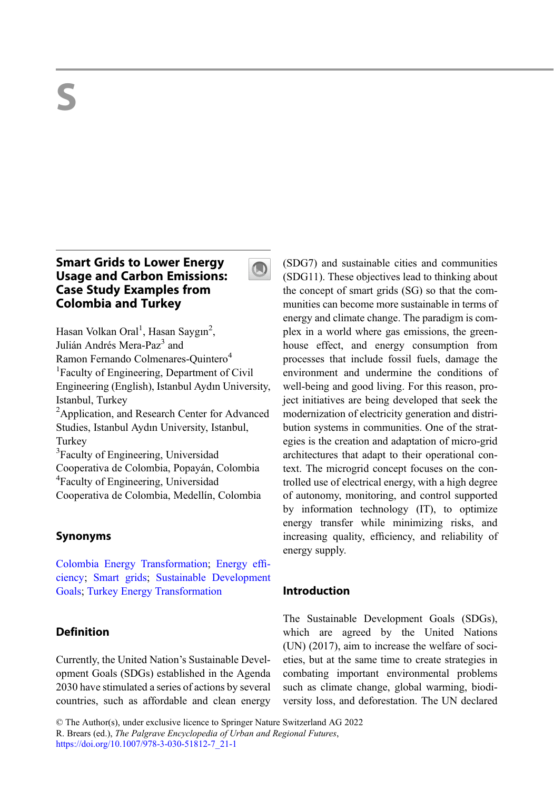# Smart Grids to Lower Energy Usage and Carbon Emissions: Case Study Examples from Colombia and Turkey



Hasan Volkan Oral<sup>1</sup>, Hasan Saygın<sup>2</sup>, Julián Andrés Mera-Paz<sup>3</sup> and Ramon Fernando Colmenares-Quintero<sup>4</sup> <sup>1</sup> Faculty of Engineering, Department of Civil Engineering (English), Istanbul Aydın University, Istanbul, Turkey <sup>2</sup> Application, and Research Center for Advanced Studies, Istanbul Aydın University, Istanbul, **Turkey** <sup>3</sup>Faculty of Engineering, Universidad Cooperativa de Colombia, Popayán, Colombia 4 Faculty of Engineering, Universidad Cooperativa de Colombia, Medellín, Colombia

# Synonyms

[Colombia Energy Transformation](http://link.springer.com/search?facet-eisbn=978-3-030-51812-7&facet-content-type=ReferenceWorkEntry&query=Smart grids); [Energy ef](http://link.springer.com/search?facet-eisbn=978-3-030-51812-7&facet-content-type=ReferenceWorkEntry&query=Energy efficiency)fi[ciency;](http://link.springer.com/search?facet-eisbn=978-3-030-51812-7&facet-content-type=ReferenceWorkEntry&query=Energy efficiency) [Smart grids;](http://link.springer.com/search?facet-eisbn=978-3-030-51812-7&facet-content-type=ReferenceWorkEntry&query=Colombia Energy Transformation) [Sustainable Development](http://link.springer.com/search?facet-eisbn=978-3-030-51812-7&facet-content-type=ReferenceWorkEntry&query=Turkey Energy Transformation) [Goals](http://link.springer.com/search?facet-eisbn=978-3-030-51812-7&facet-content-type=ReferenceWorkEntry&query=Turkey Energy Transformation); [Turkey Energy Transformation](http://link.springer.com/search?facet-eisbn=978-3-030-51812-7&facet-content-type=ReferenceWorkEntry&query=Sustainable Development Goals)

# **Definition**

Currently, the United Nation's Sustainable Development Goals (SDGs) established in the Agenda 2030 have stimulated a series of actions by several countries, such as affordable and clean energy (SDG7) and sustainable cities and communities (SDG11). These objectives lead to thinking about the concept of smart grids (SG) so that the communities can become more sustainable in terms of energy and climate change. The paradigm is complex in a world where gas emissions, the greenhouse effect, and energy consumption from processes that include fossil fuels, damage the environment and undermine the conditions of well-being and good living. For this reason, project initiatives are being developed that seek the modernization of electricity generation and distribution systems in communities. One of the strategies is the creation and adaptation of micro-grid architectures that adapt to their operational context. The microgrid concept focuses on the controlled use of electrical energy, with a high degree of autonomy, monitoring, and control supported by information technology (IT), to optimize energy transfer while minimizing risks, and increasing quality, efficiency, and reliability of energy supply.

# Introduction

The Sustainable Development Goals (SDGs), which are agreed by the United Nations (UN) (2017), aim to increase the welfare of societies, but at the same time to create strategies in combating important environmental problems such as climate change, global warming, biodiversity loss, and deforestation. The UN declared

<sup>©</sup> The Author(s), under exclusive licence to Springer Nature Switzerland AG 2022

R. Brears (ed.), The Palgrave Encyclopedia of Urban and Regional Futures,

[https://doi.org/10.1007/978-3-030-51812-7\\_21-1](https://doi.org/10.1007/978-3-030-51812-7_21-1)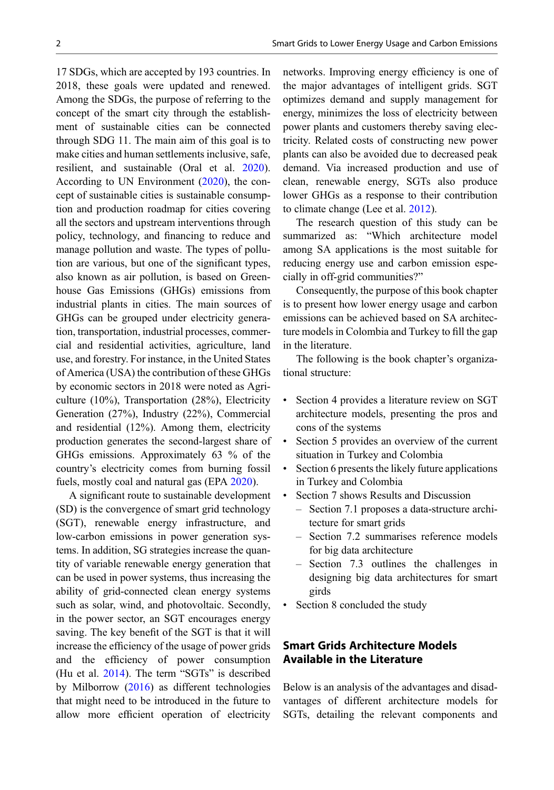17 SDGs, which are accepted by 193 countries. In 2018, these goals were updated and renewed. Among the SDGs, the purpose of referring to the concept of the smart city through the establishment of sustainable cities can be connected through SDG 11. The main aim of this goal is to make cities and human settlements inclusive, safe, resilient, and sustainable (Oral et al. [2020\)](#page-15-0). According to UN Environment [\(2020](#page-16-0)), the concept of sustainable cities is sustainable consumption and production roadmap for cities covering all the sectors and upstream interventions through policy, technology, and financing to reduce and manage pollution and waste. The types of pollution are various, but one of the significant types, also known as air pollution, is based on Greenhouse Gas Emissions (GHGs) emissions from industrial plants in cities. The main sources of GHGs can be grouped under electricity generation, transportation, industrial processes, commercial and residential activities, agriculture, land use, and forestry. For instance, in the United States of America (USA) the contribution of these GHGs by economic sectors in 2018 were noted as Agriculture (10%), Transportation (28%), Electricity Generation (27%), Industry (22%), Commercial and residential (12%). Among them, electricity production generates the second-largest share of GHGs emissions. Approximately 63 % of the country's electricity comes from burning fossil fuels, mostly coal and natural gas (EPA [2020](#page-14-0)).

A significant route to sustainable development (SD) is the convergence of smart grid technology (SGT), renewable energy infrastructure, and low-carbon emissions in power generation systems. In addition, SG strategies increase the quantity of variable renewable energy generation that can be used in power systems, thus increasing the ability of grid-connected clean energy systems such as solar, wind, and photovoltaic. Secondly, in the power sector, an SGT encourages energy saving. The key benefit of the SGT is that it will increase the efficiency of the usage of power grids and the efficiency of power consumption (Hu et al. [2014](#page-15-0)). The term "SGTs" is described by Milborrow ([2016\)](#page-15-0) as different technologies that might need to be introduced in the future to allow more efficient operation of electricity

networks. Improving energy efficiency is one of the major advantages of intelligent grids. SGT optimizes demand and supply management for energy, minimizes the loss of electricity between power plants and customers thereby saving electricity. Related costs of constructing new power plants can also be avoided due to decreased peak demand. Via increased production and use of clean, renewable energy, SGTs also produce lower GHGs as a response to their contribution to climate change (Lee et al. [2012\)](#page-15-0).

The research question of this study can be summarized as: "Which architecture model among SA applications is the most suitable for reducing energy use and carbon emission especially in off-grid communities?"

Consequently, the purpose of this book chapter is to present how lower energy usage and carbon emissions can be achieved based on SA architecture models in Colombia and Turkey to fill the gap in the literature.

The following is the book chapter's organizational structure:

- Section 4 provides a literature review on SGT architecture models, presenting the pros and cons of the systems
- Section 5 provides an overview of the current situation in Turkey and Colombia
- Section 6 presents the likely future applications in Turkey and Colombia
- Section 7 shows Results and Discussion
	- Section 7.1 proposes a data-structure architecture for smart grids
	- Section 7.2 summarises reference models for big data architecture
	- Section 7.3 outlines the challenges in designing big data architectures for smart girds
- Section 8 concluded the study

# Smart Grids Architecture Models Available in the Literature

Below is an analysis of the advantages and disadvantages of different architecture models for SGTs, detailing the relevant components and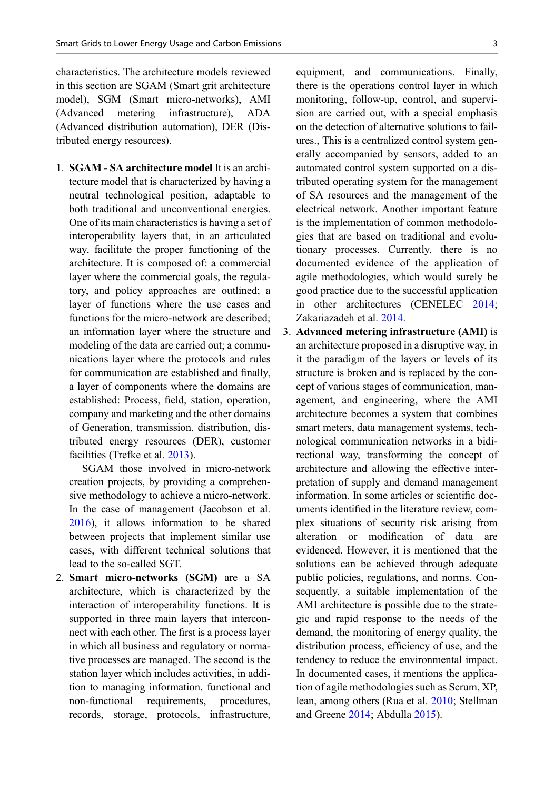characteristics. The architecture models reviewed in this section are SGAM (Smart grit architecture model), SGM (Smart micro-networks), AMI (Advanced metering infrastructure), ADA (Advanced distribution automation), DER (Distributed energy resources).

1. SGAM - SA architecture model It is an architecture model that is characterized by having a neutral technological position, adaptable to both traditional and unconventional energies. One of its main characteristics is having a set of interoperability layers that, in an articulated way, facilitate the proper functioning of the architecture. It is composed of: a commercial layer where the commercial goals, the regulatory, and policy approaches are outlined; a layer of functions where the use cases and functions for the micro-network are described; an information layer where the structure and modeling of the data are carried out; a communications layer where the protocols and rules for communication are established and finally, a layer of components where the domains are established: Process, field, station, operation, company and marketing and the other domains of Generation, transmission, distribution, distributed energy resources (DER), customer facilities (Trefke et al. [2013\)](#page-16-0).

SGAM those involved in micro-network creation projects, by providing a comprehensive methodology to achieve a micro-network. In the case of management (Jacobson et al. [2016\)](#page-15-0), it allows information to be shared between projects that implement similar use cases, with different technical solutions that lead to the so-called SGT.

2. Smart micro-networks (SGM) are a SA architecture, which is characterized by the interaction of interoperability functions. It is supported in three main layers that interconnect with each other. The first is a process layer in which all business and regulatory or normative processes are managed. The second is the station layer which includes activities, in addition to managing information, functional and non-functional requirements, procedures, records, storage, protocols, infrastructure, equipment, and communications. Finally, there is the operations control layer in which monitoring, follow-up, control, and supervision are carried out, with a special emphasis on the detection of alternative solutions to failures., This is a centralized control system generally accompanied by sensors, added to an automated control system supported on a distributed operating system for the management of SA resources and the management of the electrical network. Another important feature is the implementation of common methodologies that are based on traditional and evolutionary processes. Currently, there is no documented evidence of the application of agile methodologies, which would surely be good practice due to the successful application in other architectures (CENELEC [2014;](#page-14-0) Zakariazadeh et al. [2014](#page-16-0).

3. Advanced metering infrastructure (AMI) is an architecture proposed in a disruptive way, in it the paradigm of the layers or levels of its structure is broken and is replaced by the concept of various stages of communication, management, and engineering, where the AMI architecture becomes a system that combines smart meters, data management systems, technological communication networks in a bidirectional way, transforming the concept of architecture and allowing the effective interpretation of supply and demand management information. In some articles or scientific documents identified in the literature review, complex situations of security risk arising from alteration or modification of data are evidenced. However, it is mentioned that the solutions can be achieved through adequate public policies, regulations, and norms. Consequently, a suitable implementation of the AMI architecture is possible due to the strategic and rapid response to the needs of the demand, the monitoring of energy quality, the distribution process, efficiency of use, and the tendency to reduce the environmental impact. In documented cases, it mentions the application of agile methodologies such as Scrum, XP, lean, among others (Rua et al. [2010;](#page-15-0) Stellman and Greene [2014;](#page-16-0) Abdulla [2015\)](#page-14-0).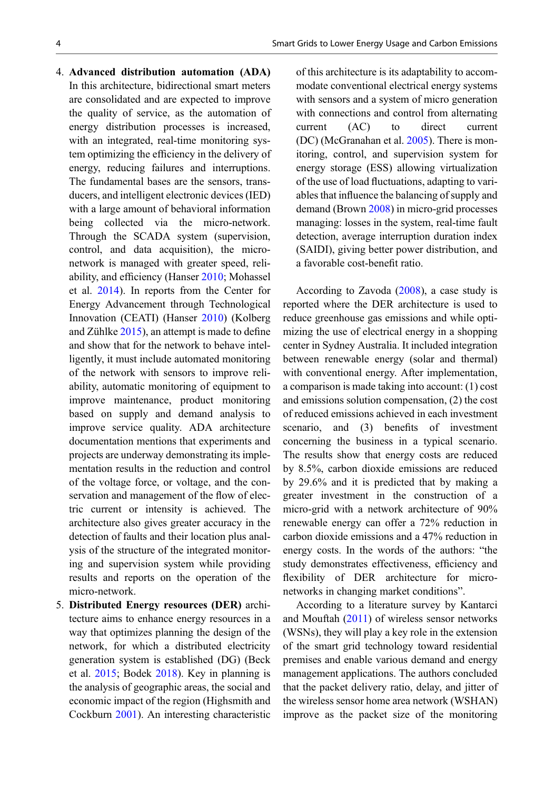- 4. Advanced distribution automation (ADA) In this architecture, bidirectional smart meters are consolidated and are expected to improve the quality of service, as the automation of energy distribution processes is increased, with an integrated, real-time monitoring system optimizing the efficiency in the delivery of energy, reducing failures and interruptions. The fundamental bases are the sensors, transducers, and intelligent electronic devices (IED) with a large amount of behavioral information being collected via the micro-network. Through the SCADA system (supervision, control, and data acquisition), the micronetwork is managed with greater speed, reliability, and efficiency (Hanser [2010;](#page-14-0) Mohassel et al. [2014\)](#page-15-0). In reports from the Center for Energy Advancement through Technological Innovation (CEATI) (Hanser [2010\)](#page-14-0) (Kolberg and Zühlke [2015\)](#page-15-0), an attempt is made to define and show that for the network to behave intelligently, it must include automated monitoring of the network with sensors to improve reliability, automatic monitoring of equipment to improve maintenance, product monitoring based on supply and demand analysis to improve service quality. ADA architecture documentation mentions that experiments and projects are underway demonstrating its implementation results in the reduction and control of the voltage force, or voltage, and the conservation and management of the flow of electric current or intensity is achieved. The architecture also gives greater accuracy in the detection of faults and their location plus analysis of the structure of the integrated monitoring and supervision system while providing results and reports on the operation of the micro-network.
- 5. Distributed Energy resources (DER) architecture aims to enhance energy resources in a way that optimizes planning the design of the network, for which a distributed electricity generation system is established (DG) (Beck et al. [2015](#page-14-0); Bodek [2018\)](#page-14-0). Key in planning is the analysis of geographic areas, the social and economic impact of the region (Highsmith and Cockburn [2001](#page-15-0)). An interesting characteristic

of this architecture is its adaptability to accommodate conventional electrical energy systems with sensors and a system of micro generation with connections and control from alternating current (AC) to direct current (DC) (McGranahan et al. [2005\)](#page-15-0). There is monitoring, control, and supervision system for energy storage (ESS) allowing virtualization of the use of load fluctuations, adapting to variables that influence the balancing of supply and demand (Brown [2008\)](#page-14-0) in micro-grid processes managing: losses in the system, real-time fault detection, average interruption duration index (SAIDI), giving better power distribution, and a favorable cost-benefit ratio.

According to Zavoda ([2008\)](#page-16-0), a case study is reported where the DER architecture is used to reduce greenhouse gas emissions and while optimizing the use of electrical energy in a shopping center in Sydney Australia. It included integration between renewable energy (solar and thermal) with conventional energy. After implementation, a comparison is made taking into account: (1) cost and emissions solution compensation, (2) the cost of reduced emissions achieved in each investment scenario, and (3) benefits of investment concerning the business in a typical scenario. The results show that energy costs are reduced by 8.5%, carbon dioxide emissions are reduced by 29.6% and it is predicted that by making a greater investment in the construction of a micro-grid with a network architecture of 90% renewable energy can offer a 72% reduction in carbon dioxide emissions and a 47% reduction in energy costs. In the words of the authors: "the study demonstrates effectiveness, efficiency and flexibility of DER architecture for micronetworks in changing market conditions".

According to a literature survey by Kantarci and Mouftah ([2011\)](#page-15-0) of wireless sensor networks (WSNs), they will play a key role in the extension of the smart grid technology toward residential premises and enable various demand and energy management applications. The authors concluded that the packet delivery ratio, delay, and jitter of the wireless sensor home area network (WSHAN) improve as the packet size of the monitoring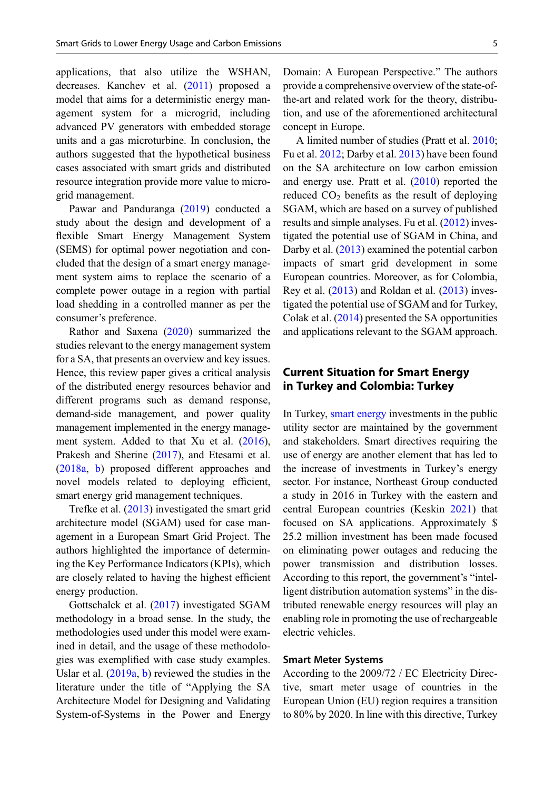applications, that also utilize the WSHAN, decreases. Kanchev et al. ([2011](#page-15-0)) proposed a model that aims for a deterministic energy management system for a microgrid, including advanced PV generators with embedded storage units and a gas microturbine. In conclusion, the authors suggested that the hypothetical business cases associated with smart grids and distributed resource integration provide more value to microgrid management.

Pawar and Panduranga ([2019\)](#page-15-0) conducted a study about the design and development of a flexible Smart Energy Management System (SEMS) for optimal power negotiation and concluded that the design of a smart energy management system aims to replace the scenario of a complete power outage in a region with partial load shedding in a controlled manner as per the consumer's preference.

Rathor and Saxena [\(2020](#page-15-0)) summarized the studies relevant to the energy management system for a SA, that presents an overview and key issues. Hence, this review paper gives a critical analysis of the distributed energy resources behavior and different programs such as demand response, demand-side management, and power quality management implemented in the energy manage-ment system. Added to that Xu et al. ([2016\)](#page-16-0), Prakesh and Sherine [\(2017](#page-15-0)), and Etesami et al. [\(2018a,](#page-14-0) [b\)](#page-14-0) proposed different approaches and novel models related to deploying efficient, smart energy grid management techniques.

Trefke et al. [\(2013](#page-16-0)) investigated the smart grid architecture model (SGAM) used for case management in a European Smart Grid Project. The authors highlighted the importance of determining the Key Performance Indicators (KPIs), which are closely related to having the highest efficient energy production.

Gottschalck et al. [\(2017](#page-14-0)) investigated SGAM methodology in a broad sense. In the study, the methodologies used under this model were examined in detail, and the usage of these methodologies was exemplified with case study examples. Uslar et al. [\(2019a](#page-16-0), [b\)](#page-16-0) reviewed the studies in the literature under the title of "Applying the SA Architecture Model for Designing and Validating System-of-Systems in the Power and Energy Domain: A European Perspective." The authors provide a comprehensive overview of the state-ofthe-art and related work for the theory, distribution, and use of the aforementioned architectural concept in Europe.

A limited number of studies (Pratt et al. [2010;](#page-15-0) Fu et al. [2012](#page-14-0); Darby et al. [2013\)](#page-14-0) have been found on the SA architecture on low carbon emission and energy use. Pratt et al. [\(2010](#page-15-0)) reported the reduced  $CO<sub>2</sub>$  benefits as the result of deploying SGAM, which are based on a survey of published results and simple analyses. Fu et al. [\(2012](#page-14-0)) investigated the potential use of SGAM in China, and Darby et al. [\(2013](#page-14-0)) examined the potential carbon impacts of smart grid development in some European countries. Moreover, as for Colombia, Rey et al. ([2013\)](#page-15-0) and Roldan et al. [\(2013](#page-15-0)) investigated the potential use of SGAM and for Turkey, Colak et al. ([2014\)](#page-14-0) presented the SA opportunities and applications relevant to the SGAM approach.

# Current Situation for Smart Energy in Turkey and Colombia: Turkey

In Turkey, [smart energy](https://magg4.com/sahin-caglayan-surdurulebilir-enerji-icin-teknolojik-cozumler/) investments in the public utility sector are maintained by the government and stakeholders. Smart directives requiring the use of energy are another element that has led to the increase of investments in Turkey's energy sector. For instance, Northeast Group conducted a study in 2016 in Turkey with the eastern and central European countries (Keskin [2021](#page-15-0)) that focused on SA applications. Approximately \$ 25.2 million investment has been made focused on eliminating power outages and reducing the power transmission and distribution losses. According to this report, the government's "intelligent distribution automation systems" in the distributed renewable energy resources will play an enabling role in promoting the use of rechargeable electric vehicles.

### Smart Meter Systems

According to the 2009/72 / EC Electricity Directive, smart meter usage of countries in the European Union (EU) region requires a transition to 80% by 2020. In line with this directive, Turkey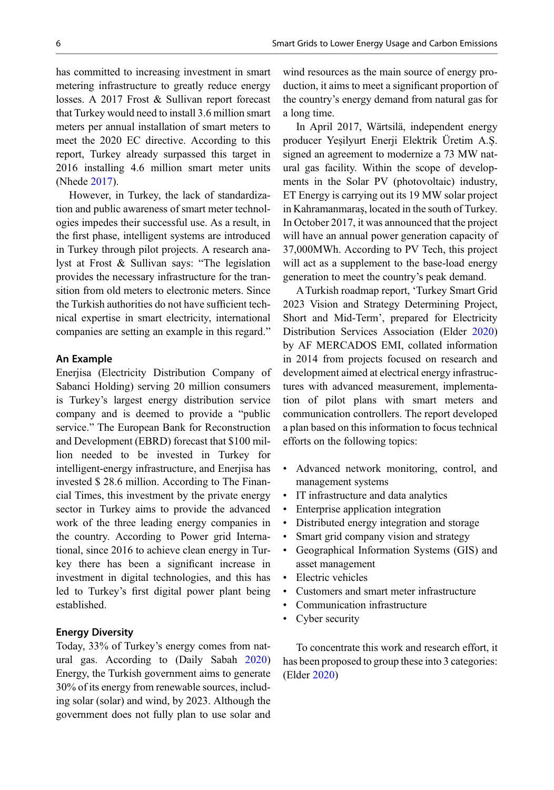has committed to increasing investment in smart metering infrastructure to greatly reduce energy losses. A 2017 Frost & Sullivan report forecast that Turkey would need to install 3.6 million smart meters per annual installation of smart meters to meet the 2020 EC directive. According to this report, Turkey already surpassed this target in 2016 installing 4.6 million smart meter units (Nhede [2017\)](#page-15-0).

However, in Turkey, the lack of standardization and public awareness of smart meter technologies impedes their successful use. As a result, in the first phase, intelligent systems are introduced in Turkey through pilot projects. A research analyst at Frost & Sullivan says: "The legislation provides the necessary infrastructure for the transition from old meters to electronic meters. Since the Turkish authorities do not have sufficient technical expertise in smart electricity, international companies are setting an example in this regard."

#### An Example

Enerjisa (Electricity Distribution Company of Sabanci Holding) serving 20 million consumers is Turkey's largest energy distribution service company and is deemed to provide a "public service." The European Bank for Reconstruction and Development (EBRD) forecast that \$100 million needed to be invested in Turkey for intelligent-energy infrastructure, and Enerjisa has invested \$ 28.6 million. According to The Financial Times, this investment by the private energy sector in Turkey aims to provide the advanced work of the three leading energy companies in the country. According to Power grid International, since 2016 to achieve clean energy in Turkey there has been a significant increase in investment in digital technologies, and this has led to Turkey's first digital power plant being established.

#### Energy Diversity

Today, 33% of Turkey's energy comes from natural gas. According to (Daily Sabah [2020](#page-14-0)) Energy, the Turkish government aims to generate 30% of its energy from renewable sources, including solar (solar) and wind, by 2023. Although the government does not fully plan to use solar and

wind resources as the main source of energy production, it aims to meet a significant proportion of the country's energy demand from natural gas for a long time.

In April 2017, Wärtsilä, independent energy producer Yeşilyurt Enerji Elektrik Üretim A.Ş. signed an agreement to modernize a 73 MW natural gas facility. Within the scope of developments in the Solar PV (photovoltaic) industry, ET Energy is carrying out its 19 MW solar project in Kahramanmaraş, located in the south of Turkey. In October 2017, it was announced that the project will have an annual power generation capacity of 37,000MWh. According to PV Tech, this project will act as a supplement to the base-load energy generation to meet the country's peak demand.

ATurkish roadmap report, 'Turkey Smart Grid 2023 Vision and Strategy Determining Project, Short and Mid-Term', prepared for Electricity Distribution Services Association (Elder [2020](#page-14-0)) by AF MERCADOS EMI, collated information in 2014 from projects focused on research and development aimed at electrical energy infrastructures with advanced measurement, implementation of pilot plans with smart meters and communication controllers. The report developed a plan based on this information to focus technical efforts on the following topics:

- Advanced network monitoring, control, and management systems
- IT infrastructure and data analytics
- Enterprise application integration
- Distributed energy integration and storage
- Smart grid company vision and strategy
- Geographical Information Systems (GIS) and asset management
- Electric vehicles
- Customers and smart meter infrastructure
- Communication infrastructure
- Cyber security

To concentrate this work and research effort, it has been proposed to group these into 3 categories: (Elder [2020](#page-14-0))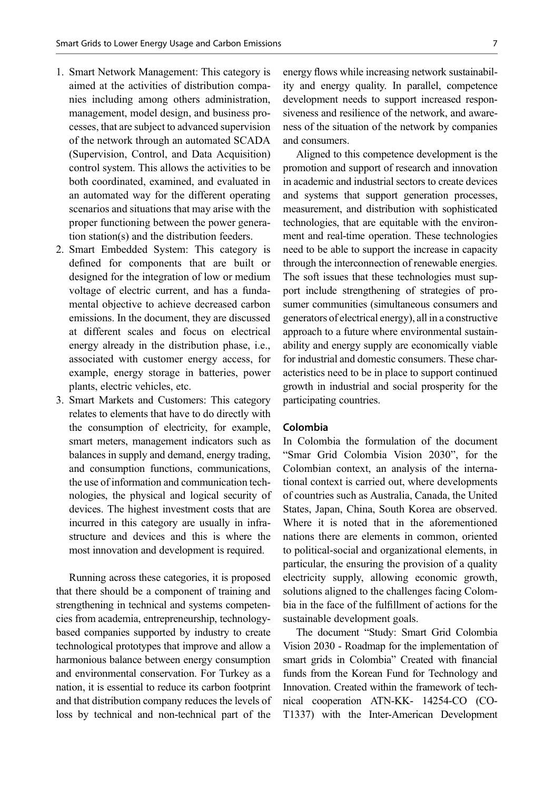- 1. Smart Network Management: This category is aimed at the activities of distribution companies including among others administration, management, model design, and business processes, that are subject to advanced supervision of the network through an automated SCADA (Supervision, Control, and Data Acquisition) control system. This allows the activities to be both coordinated, examined, and evaluated in an automated way for the different operating scenarios and situations that may arise with the proper functioning between the power generation station(s) and the distribution feeders.
- 2. Smart Embedded System: This category is defined for components that are built or designed for the integration of low or medium voltage of electric current, and has a fundamental objective to achieve decreased carbon emissions. In the document, they are discussed at different scales and focus on electrical energy already in the distribution phase, i.e., associated with customer energy access, for example, energy storage in batteries, power plants, electric vehicles, etc.
- 3. Smart Markets and Customers: This category relates to elements that have to do directly with the consumption of electricity, for example, smart meters, management indicators such as balances in supply and demand, energy trading, and consumption functions, communications, the use of information and communication technologies, the physical and logical security of devices. The highest investment costs that are incurred in this category are usually in infrastructure and devices and this is where the most innovation and development is required.

Running across these categories, it is proposed that there should be a component of training and strengthening in technical and systems competencies from academia, entrepreneurship, technologybased companies supported by industry to create technological prototypes that improve and allow a harmonious balance between energy consumption and environmental conservation. For Turkey as a nation, it is essential to reduce its carbon footprint and that distribution company reduces the levels of loss by technical and non-technical part of the

energy flows while increasing network sustainability and energy quality. In parallel, competence development needs to support increased responsiveness and resilience of the network, and awareness of the situation of the network by companies and consumers.

Aligned to this competence development is the promotion and support of research and innovation in academic and industrial sectors to create devices and systems that support generation processes, measurement, and distribution with sophisticated technologies, that are equitable with the environment and real-time operation. These technologies need to be able to support the increase in capacity through the interconnection of renewable energies. The soft issues that these technologies must support include strengthening of strategies of prosumer communities (simultaneous consumers and generators of electrical energy), all in a constructive approach to a future where environmental sustainability and energy supply are economically viable for industrial and domestic consumers. These characteristics need to be in place to support continued growth in industrial and social prosperity for the participating countries.

## Colombia

In Colombia the formulation of the document "Smar Grid Colombia Vision 2030", for the Colombian context, an analysis of the international context is carried out, where developments of countries such as Australia, Canada, the United States, Japan, China, South Korea are observed. Where it is noted that in the aforementioned nations there are elements in common, oriented to political-social and organizational elements, in particular, the ensuring the provision of a quality electricity supply, allowing economic growth, solutions aligned to the challenges facing Colombia in the face of the fulfillment of actions for the sustainable development goals.

The document "Study: Smart Grid Colombia Vision 2030 - Roadmap for the implementation of smart grids in Colombia" Created with financial funds from the Korean Fund for Technology and Innovation. Created within the framework of technical cooperation ATN-KK- 14254-CO (CO-T1337) with the Inter-American Development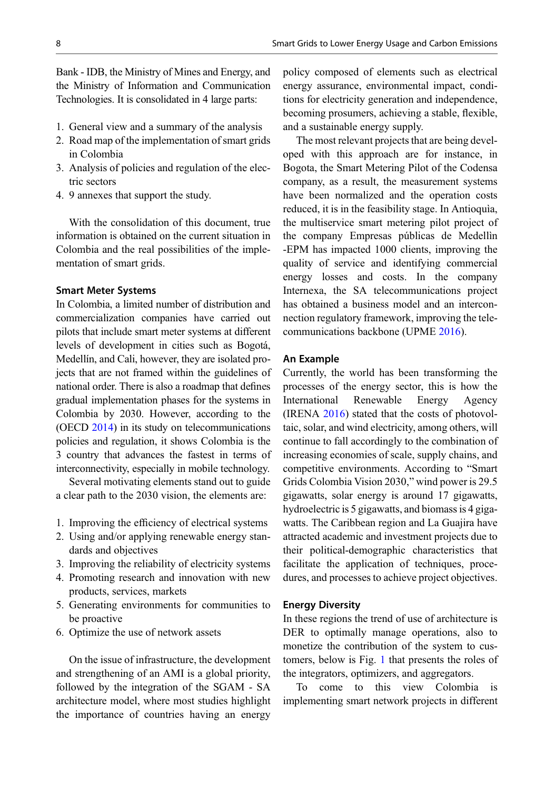Bank - IDB, the Ministry of Mines and Energy, and the Ministry of Information and Communication Technologies. It is consolidated in 4 large parts:

- 1. General view and a summary of the analysis
- 2. Road map of the implementation of smart grids in Colombia
- 3. Analysis of policies and regulation of the electric sectors
- 4. 9 annexes that support the study.

With the consolidation of this document, true information is obtained on the current situation in Colombia and the real possibilities of the implementation of smart grids.

#### Smart Meter Systems

In Colombia, a limited number of distribution and commercialization companies have carried out pilots that include smart meter systems at different levels of development in cities such as Bogotá, Medellín, and Cali, however, they are isolated projects that are not framed within the guidelines of national order. There is also a roadmap that defines gradual implementation phases for the systems in Colombia by 2030. However, according to the (OECD [2014](#page-15-0)) in its study on telecommunications policies and regulation, it shows Colombia is the 3 country that advances the fastest in terms of interconnectivity, especially in mobile technology.

Several motivating elements stand out to guide a clear path to the 2030 vision, the elements are:

- 1. Improving the efficiency of electrical systems
- 2. Using and/or applying renewable energy standards and objectives
- 3. Improving the reliability of electricity systems
- 4. Promoting research and innovation with new products, services, markets
- 5. Generating environments for communities to be proactive
- 6. Optimize the use of network assets

On the issue of infrastructure, the development and strengthening of an AMI is a global priority, followed by the integration of the SGAM - SA architecture model, where most studies highlight the importance of countries having an energy

policy composed of elements such as electrical energy assurance, environmental impact, conditions for electricity generation and independence, becoming prosumers, achieving a stable, flexible, and a sustainable energy supply.

The most relevant projects that are being developed with this approach are for instance, in Bogota, the Smart Metering Pilot of the Codensa company, as a result, the measurement systems have been normalized and the operation costs reduced, it is in the feasibility stage. In Antioquìa, the multiservice smart metering pilot project of the company Empresas públicas de Medellìn -EPM has impacted 1000 clients, improving the quality of service and identifying commercial energy losses and costs. In the company Internexa, the SA telecommunications project has obtained a business model and an interconnection regulatory framework, improving the telecommunications backbone (UPME [2016\)](#page-16-0).

#### An Example

Currently, the world has been transforming the processes of the energy sector, this is how the International Renewable Energy Agency (IRENA [2016\)](#page-15-0) stated that the costs of photovoltaic, solar, and wind electricity, among others, will continue to fall accordingly to the combination of increasing economies of scale, supply chains, and competitive environments. According to "Smart Grids Colombia Vision 2030," wind power is 29.5 gigawatts, solar energy is around 17 gigawatts, hydroelectric is 5 gigawatts, and biomass is 4 gigawatts. The Caribbean region and La Guajira have attracted academic and investment projects due to their political-demographic characteristics that facilitate the application of techniques, procedures, and processes to achieve project objectives.

#### Energy Diversity

In these regions the trend of use of architecture is DER to optimally manage operations, also to monetize the contribution of the system to customers, below is Fig. [1](#page-8-0) that presents the roles of the integrators, optimizers, and aggregators.

To come to this view Colombia is implementing smart network projects in different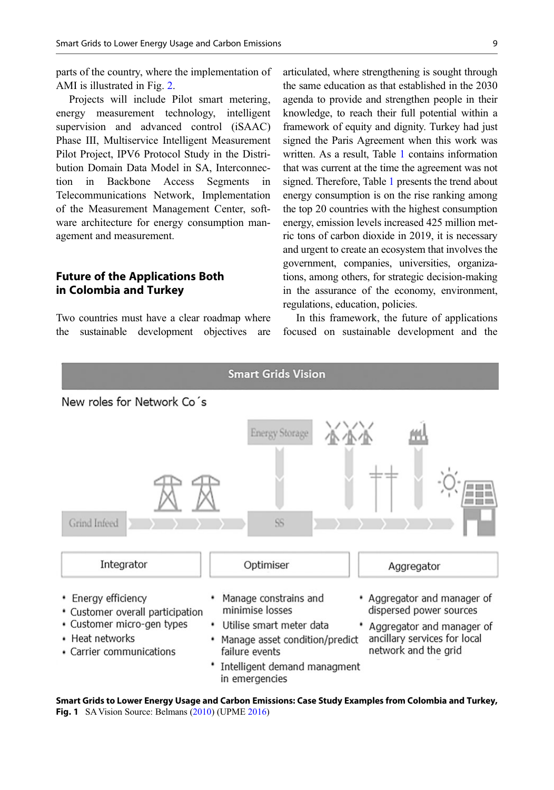<span id="page-8-0"></span>parts of the country, where the implementation of AMI is illustrated in Fig. [2](#page-9-0).

Projects will include Pilot smart metering, energy measurement technology, intelligent supervision and advanced control (iSAAC) Phase III, Multiservice Intelligent Measurement Pilot Project, IPV6 Protocol Study in the Distribution Domain Data Model in SA, Interconnection in Backbone Access Segments in Telecommunications Network, Implementation of the Measurement Management Center, software architecture for energy consumption management and measurement.

# Future of the Applications Both in Colombia and Turkey

Two countries must have a clear roadmap where the sustainable development objectives are

articulated, where strengthening is sought through the same education as that established in the 2030 agenda to provide and strengthen people in their knowledge, to reach their full potential within a framework of equity and dignity. Turkey had just signed the Paris Agreement when this work was written. As a result, Table [1](#page-9-0) contains information that was current at the time the agreement was not signed. Therefore, Table [1](#page-9-0) presents the trend about energy consumption is on the rise ranking among the top 20 countries with the highest consumption energy, emission levels increased 425 million metric tons of carbon dioxide in 2019, it is necessary and urgent to create an ecosystem that involves the government, companies, universities, organizations, among others, for strategic decision-making in the assurance of the economy, environment, regulations, education, policies.

In this framework, the future of applications focused on sustainable development and the



Smart Grids to Lower Energy Usage and Carbon Emissions: Case Study Examples from Colombia and Turkey, Fig. 1 SA Vision Source: Belmans ([2010\)](#page-14-0) (UPME [2016\)](#page-16-0)

in emergencies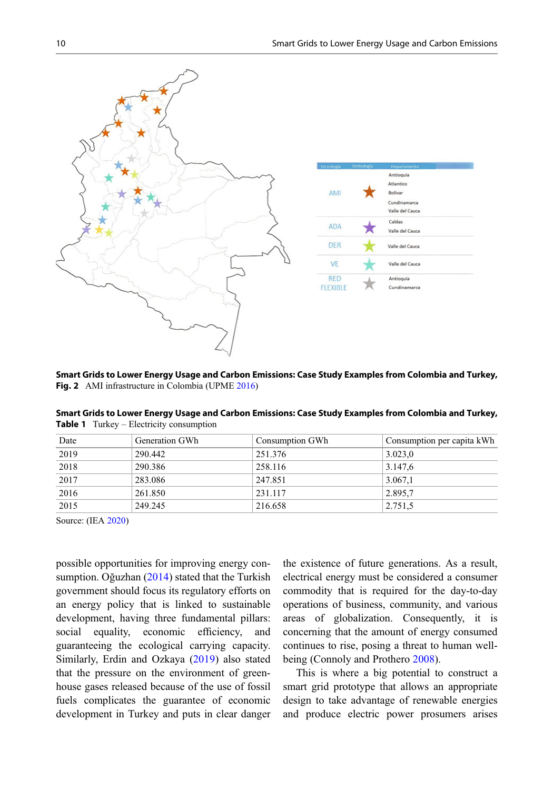<span id="page-9-0"></span>

Smart Grids to Lower Energy Usage and Carbon Emissions: Case Study Examples from Colombia and Turkey, Fig. 2 AMI infrastructure in Colombia (UPME [2016\)](#page-16-0)

| Date | Generation GWh | Consumption GWh | Consumption per capita kWh |
|------|----------------|-----------------|----------------------------|
| 2019 | 290.442        | 251.376         | 3.023,0                    |
| 2018 | 290.386        | 258.116         | 3.147,6                    |
| 2017 | 283.086        | 247.851         | 3.067,1                    |
| 2016 | 261.850        | 231.117         | 2.895.7                    |
| 2015 | 249.245        | 216.658         | 2.751,5                    |

Smart Grids to Lower Energy Usage and Carbon Emissions: Case Study Examples from Colombia and Turkey, Table 1 Turkey – Electricity consumption

Source: (IEA [2020\)](#page-15-0)

possible opportunities for improving energy consumption. Oğuzhan [\(2014](#page-15-0)) stated that the Turkish government should focus its regulatory efforts on an energy policy that is linked to sustainable development, having three fundamental pillars: social equality, economic efficiency, and guaranteeing the ecological carrying capacity. Similarly, Erdin and Ozkaya [\(2019](#page-14-0)) also stated that the pressure on the environment of greenhouse gases released because of the use of fossil fuels complicates the guarantee of economic development in Turkey and puts in clear danger

the existence of future generations. As a result, electrical energy must be considered a consumer commodity that is required for the day-to-day operations of business, community, and various areas of globalization. Consequently, it is concerning that the amount of energy consumed continues to rise, posing a threat to human wellbeing (Connoly and Prothero [2008](#page-14-0)).

This is where a big potential to construct a smart grid prototype that allows an appropriate design to take advantage of renewable energies and produce electric power prosumers arises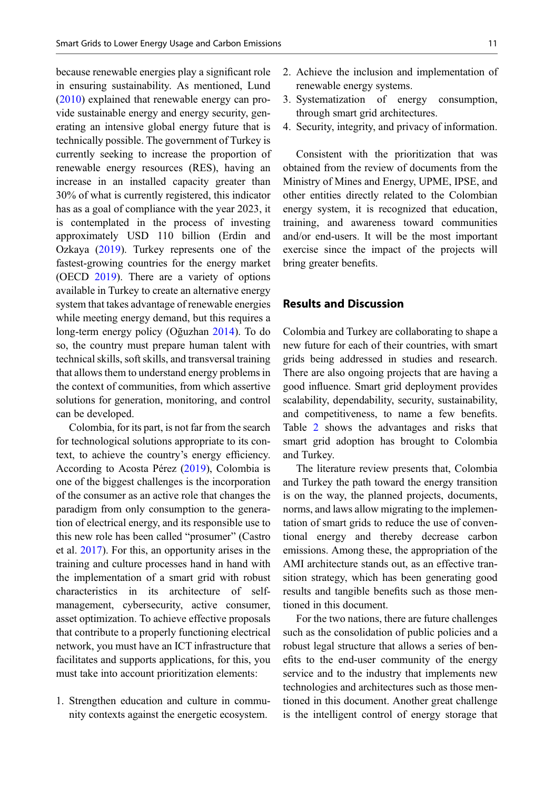because renewable energies play a significant role in ensuring sustainability. As mentioned, Lund [\(2010](#page-15-0)) explained that renewable energy can provide sustainable energy and energy security, generating an intensive global energy future that is technically possible. The government of Turkey is currently seeking to increase the proportion of renewable energy resources (RES), having an increase in an installed capacity greater than 30% of what is currently registered, this indicator has as a goal of compliance with the year 2023, it is contemplated in the process of investing approximately USD 110 billion (Erdin and Ozkaya [\(2019](#page-14-0)). Turkey represents one of the fastest-growing countries for the energy market (OECD [2019](#page-15-0)). There are a variety of options available in Turkey to create an alternative energy system that takes advantage of renewable energies while meeting energy demand, but this requires a long-term energy policy (Oğuzhan [2014\)](#page-15-0). To do so, the country must prepare human talent with technical skills, soft skills, and transversal training that allows them to understand energy problems in the context of communities, from which assertive solutions for generation, monitoring, and control can be developed.

Colombia, for its part, is not far from the search for technological solutions appropriate to its context, to achieve the country's energy efficiency. According to Acosta Pérez ([2019\)](#page-14-0), Colombia is one of the biggest challenges is the incorporation of the consumer as an active role that changes the paradigm from only consumption to the generation of electrical energy, and its responsible use to this new role has been called "prosumer" (Castro et al. [2017](#page-14-0)). For this, an opportunity arises in the training and culture processes hand in hand with the implementation of a smart grid with robust characteristics in its architecture of selfmanagement, cybersecurity, active consumer, asset optimization. To achieve effective proposals that contribute to a properly functioning electrical network, you must have an ICT infrastructure that facilitates and supports applications, for this, you must take into account prioritization elements:

1. Strengthen education and culture in community contexts against the energetic ecosystem.

- 2. Achieve the inclusion and implementation of renewable energy systems.
- 3. Systematization of energy consumption, through smart grid architectures.
- 4. Security, integrity, and privacy of information.

Consistent with the prioritization that was obtained from the review of documents from the Ministry of Mines and Energy, UPME, IPSE, and other entities directly related to the Colombian energy system, it is recognized that education, training, and awareness toward communities and/or end-users. It will be the most important exercise since the impact of the projects will bring greater benefits.

### Results and Discussion

Colombia and Turkey are collaborating to shape a new future for each of their countries, with smart grids being addressed in studies and research. There are also ongoing projects that are having a good influence. Smart grid deployment provides scalability, dependability, security, sustainability, and competitiveness, to name a few benefits. Table [2](#page-11-0) shows the advantages and risks that smart grid adoption has brought to Colombia and Turkey.

The literature review presents that, Colombia and Turkey the path toward the energy transition is on the way, the planned projects, documents, norms, and laws allow migrating to the implementation of smart grids to reduce the use of conventional energy and thereby decrease carbon emissions. Among these, the appropriation of the AMI architecture stands out, as an effective transition strategy, which has been generating good results and tangible benefits such as those mentioned in this document.

For the two nations, there are future challenges such as the consolidation of public policies and a robust legal structure that allows a series of benefits to the end-user community of the energy service and to the industry that implements new technologies and architectures such as those mentioned in this document. Another great challenge is the intelligent control of energy storage that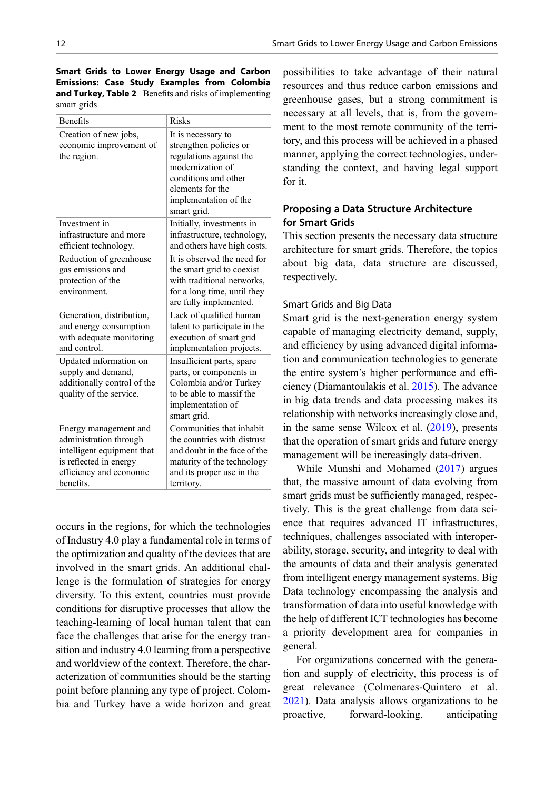<span id="page-11-0"></span>Smart Grids to Lower Energy Usage and Carbon Emissions: Case Study Examples from Colombia and Turkey, Table 2 Benefits and risks of implementing smart grids

| <b>Benefits</b>                                                                                                                                 | <b>Risks</b>                                                                                                                                                                    |  |  |
|-------------------------------------------------------------------------------------------------------------------------------------------------|---------------------------------------------------------------------------------------------------------------------------------------------------------------------------------|--|--|
| Creation of new jobs,<br>economic improvement of<br>the region.                                                                                 | It is necessary to<br>strengthen policies or<br>regulations against the<br>modernization of<br>conditions and other<br>elements for the<br>implementation of the<br>smart grid. |  |  |
| Investment in<br>infrastructure and more<br>efficient technology.                                                                               | Initially, investments in<br>infrastructure, technology,<br>and others have high costs.                                                                                         |  |  |
| Reduction of greenhouse<br>gas emissions and<br>protection of the<br>environment.                                                               | It is observed the need for<br>the smart grid to coexist<br>with traditional networks,<br>for a long time, until they<br>are fully implemented.                                 |  |  |
| Generation, distribution,<br>and energy consumption<br>with adequate monitoring<br>and control.                                                 | Lack of qualified human<br>talent to participate in the<br>execution of smart grid<br>implementation projects.                                                                  |  |  |
| Updated information on<br>supply and demand,<br>additionally control of the<br>quality of the service.                                          | Insufficient parts, spare<br>parts, or components in<br>Colombia and/or Turkey<br>to be able to massif the<br>implementation of<br>smart grid.                                  |  |  |
| Energy management and<br>administration through<br>intelligent equipment that<br>is reflected in energy<br>efficiency and economic<br>benefits. | Communities that inhabit<br>the countries with distrust<br>and doubt in the face of the<br>maturity of the technology<br>and its proper use in the<br>territory.                |  |  |

occurs in the regions, for which the technologies of Industry 4.0 play a fundamental role in terms of the optimization and quality of the devices that are involved in the smart grids. An additional challenge is the formulation of strategies for energy diversity. To this extent, countries must provide conditions for disruptive processes that allow the teaching-learning of local human talent that can face the challenges that arise for the energy transition and industry 4.0 learning from a perspective and worldview of the context. Therefore, the characterization of communities should be the starting point before planning any type of project. Colombia and Turkey have a wide horizon and great

possibilities to take advantage of their natural resources and thus reduce carbon emissions and greenhouse gases, but a strong commitment is necessary at all levels, that is, from the government to the most remote community of the territory, and this process will be achieved in a phased manner, applying the correct technologies, understanding the context, and having legal support for it.

# Proposing a Data Structure Architecture for Smart Grids

This section presents the necessary data structure architecture for smart grids. Therefore, the topics about big data, data structure are discussed, respectively.

### Smart Grids and Big Data

Smart grid is the next-generation energy system capable of managing electricity demand, supply, and efficiency by using advanced digital information and communication technologies to generate the entire system's higher performance and efficiency (Diamantoulakis et al. [2015](#page-14-0)). The advance in big data trends and data processing makes its relationship with networks increasingly close and, in the same sense Wilcox et al. [\(2019](#page-16-0)), presents that the operation of smart grids and future energy management will be increasingly data-driven.

While Munshi and Mohamed [\(2017](#page-15-0)) argues that, the massive amount of data evolving from smart grids must be sufficiently managed, respectively. This is the great challenge from data science that requires advanced IT infrastructures, techniques, challenges associated with interoperability, storage, security, and integrity to deal with the amounts of data and their analysis generated from intelligent energy management systems. Big Data technology encompassing the analysis and transformation of data into useful knowledge with the help of different ICT technologies has become a priority development area for companies in general.

For organizations concerned with the generation and supply of electricity, this process is of great relevance (Colmenares-Quintero et al. [2021\)](#page-14-0). Data analysis allows organizations to be proactive, forward-looking, anticipating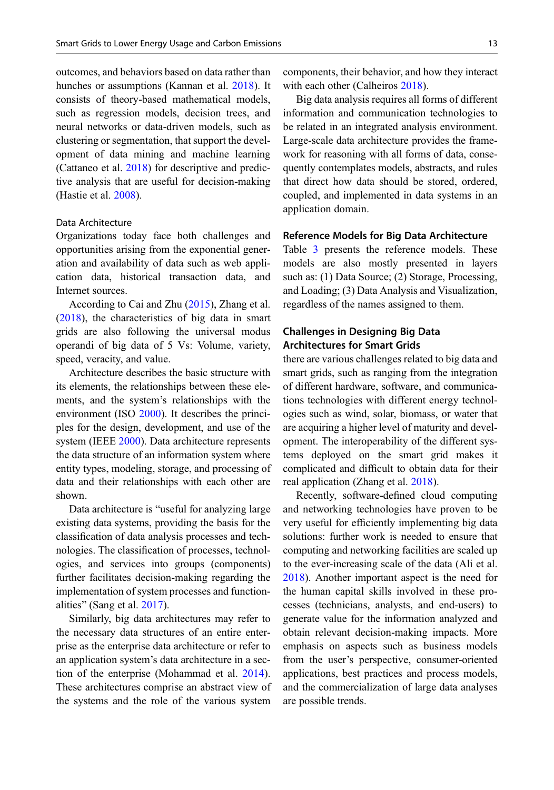outcomes, and behaviors based on data rather than hunches or assumptions (Kannan et al. [2018\)](#page-15-0). It consists of theory-based mathematical models, such as regression models, decision trees, and neural networks or data-driven models, such as clustering or segmentation, that support the development of data mining and machine learning (Cattaneo et al. [2018\)](#page-14-0) for descriptive and predictive analysis that are useful for decision-making (Hastie et al. [2008\)](#page-14-0).

### Data Architecture

Organizations today face both challenges and opportunities arising from the exponential generation and availability of data such as web application data, historical transaction data, and Internet sources.

According to Cai and Zhu ([2015\)](#page-14-0), Zhang et al. [\(2018](#page-16-0)), the characteristics of big data in smart grids are also following the universal modus operandi of big data of 5 Vs: Volume, variety, speed, veracity, and value.

Architecture describes the basic structure with its elements, the relationships between these elements, and the system's relationships with the environment (ISO [2000\)](#page-15-0). It describes the principles for the design, development, and use of the system (IEEE [2000](#page-14-0)). Data architecture represents the data structure of an information system where entity types, modeling, storage, and processing of data and their relationships with each other are shown.

Data architecture is "useful for analyzing large existing data systems, providing the basis for the classification of data analysis processes and technologies. The classification of processes, technologies, and services into groups (components) further facilitates decision-making regarding the implementation of system processes and functionalities" (Sang et al. [2017\)](#page-16-0).

Similarly, big data architectures may refer to the necessary data structures of an entire enterprise as the enterprise data architecture or refer to an application system's data architecture in a section of the enterprise (Mohammad et al. [2014\)](#page-15-0). These architectures comprise an abstract view of the systems and the role of the various system

components, their behavior, and how they interact with each other (Calheiros [2018](#page-14-0)).

Big data analysis requires all forms of different information and communication technologies to be related in an integrated analysis environment. Large-scale data architecture provides the framework for reasoning with all forms of data, consequently contemplates models, abstracts, and rules that direct how data should be stored, ordered, coupled, and implemented in data systems in an application domain.

#### Reference Models for Big Data Architecture

Table [3](#page-13-0) presents the reference models. These models are also mostly presented in layers such as: (1) Data Source; (2) Storage, Processing, and Loading; (3) Data Analysis and Visualization, regardless of the names assigned to them.

## Challenges in Designing Big Data Architectures for Smart Grids

there are various challenges related to big data and smart grids, such as ranging from the integration of different hardware, software, and communications technologies with different energy technologies such as wind, solar, biomass, or water that are acquiring a higher level of maturity and development. The interoperability of the different systems deployed on the smart grid makes it complicated and difficult to obtain data for their real application (Zhang et al. [2018\)](#page-16-0).

Recently, software-defined cloud computing and networking technologies have proven to be very useful for efficiently implementing big data solutions: further work is needed to ensure that computing and networking facilities are scaled up to the ever-increasing scale of the data (Ali et al. [2018\)](#page-14-0). Another important aspect is the need for the human capital skills involved in these processes (technicians, analysts, and end-users) to generate value for the information analyzed and obtain relevant decision-making impacts. More emphasis on aspects such as business models from the user's perspective, consumer-oriented applications, best practices and process models, and the commercialization of large data analyses are possible trends.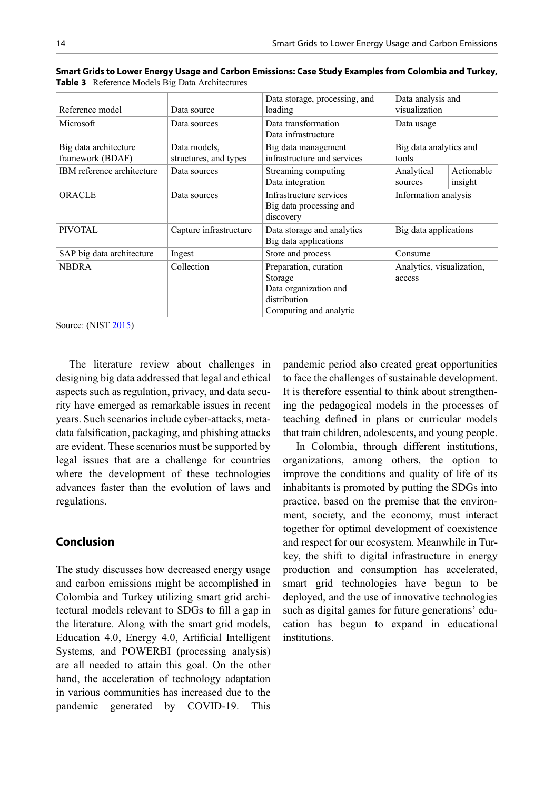| Reference model                           | Data source                           | Data storage, processing, and<br>loading                                                            | Data analysis and<br>visualization  |                       |
|-------------------------------------------|---------------------------------------|-----------------------------------------------------------------------------------------------------|-------------------------------------|-----------------------|
| Microsoft                                 | Data sources                          | Data transformation<br>Data infrastructure                                                          | Data usage                          |                       |
| Big data architecture<br>framework (BDAF) | Data models,<br>structures, and types | Big data management<br>infrastructure and services                                                  | Big data analytics and<br>tools     |                       |
| IBM reference architecture                | Data sources                          | Streaming computing<br>Data integration                                                             | Analytical<br>sources               | Actionable<br>insight |
| ORACLE                                    | Data sources                          | Infrastructure services<br>Big data processing and<br>discovery                                     | Information analysis                |                       |
| PIVOTAL                                   | Capture infrastructure                | Data storage and analytics<br>Big data applications                                                 | Big data applications               |                       |
| SAP big data architecture                 | Ingest                                | Store and process                                                                                   | Consume                             |                       |
| <b>NBDRA</b>                              | Collection                            | Preparation, curation<br>Storage<br>Data organization and<br>distribution<br>Computing and analytic | Analytics, visualization,<br>access |                       |

<span id="page-13-0"></span>Smart Grids to Lower Energy Usage and Carbon Emissions: Case Study Examples from Colombia and Turkey, Table 3 Reference Models Big Data Architectures

Source: (NIST [2015](#page-16-0))

The literature review about challenges in designing big data addressed that legal and ethical aspects such as regulation, privacy, and data security have emerged as remarkable issues in recent years. Such scenarios include cyber-attacks, metadata falsification, packaging, and phishing attacks are evident. These scenarios must be supported by legal issues that are a challenge for countries where the development of these technologies advances faster than the evolution of laws and regulations.

# Conclusion

The study discusses how decreased energy usage and carbon emissions might be accomplished in Colombia and Turkey utilizing smart grid architectural models relevant to SDGs to fill a gap in the literature. Along with the smart grid models, Education 4.0, Energy 4.0, Artificial Intelligent Systems, and POWERBI (processing analysis) are all needed to attain this goal. On the other hand, the acceleration of technology adaptation in various communities has increased due to the pandemic generated by COVID-19. This

pandemic period also created great opportunities to face the challenges of sustainable development. It is therefore essential to think about strengthening the pedagogical models in the processes of teaching defined in plans or curricular models that train children, adolescents, and young people.

In Colombia, through different institutions, organizations, among others, the option to improve the conditions and quality of life of its inhabitants is promoted by putting the SDGs into practice, based on the premise that the environment, society, and the economy, must interact together for optimal development of coexistence and respect for our ecosystem. Meanwhile in Turkey, the shift to digital infrastructure in energy production and consumption has accelerated, smart grid technologies have begun to be deployed, and the use of innovative technologies such as digital games for future generations' education has begun to expand in educational institutions.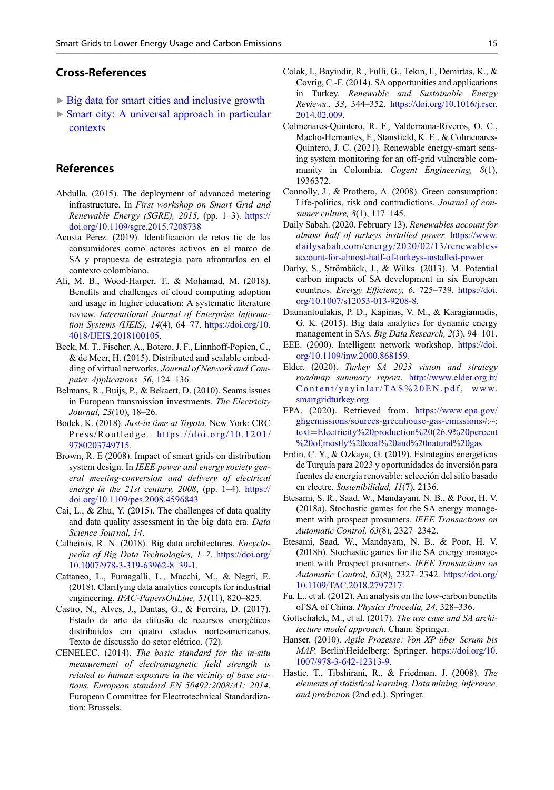## <span id="page-14-0"></span>Cross-References

- ▶ [Big data for smart cities and inclusive growth](http://link.springer.com/search?facet-eisbn=978-3-030-51812-7&facet-content-type=ReferenceWorkEntry&query=Big data for smart cities and inclusive growth)
- $\triangleright$  [Smart city: A universal approach in particular](http://link.springer.com/search?facet-eisbn=978-3-030-51812-7&facet-content-type=ReferenceWorkEntry&query=Smart city: A universal approach in particular contexts) [contexts](http://link.springer.com/search?facet-eisbn=978-3-030-51812-7&facet-content-type=ReferenceWorkEntry&query=Smart city: A universal approach in particular contexts)

## References

- Abdulla. (2015). The deployment of advanced metering infrastructure. In First workshop on Smart Grid and Renewable Energy (SGRE), 2015, (pp. 1–3). [https://](https://doi.org/10.1109/sgre.2015.7208738) [doi.org/10.1109/sgre.2015.7208738](https://doi.org/10.1109/sgre.2015.7208738)
- Acosta Pérez. (2019). Identificación de retos tic de los consumidores como actores activos en el marco de SA y propuesta de estrategia para afrontarlos en el contexto colombiano.
- Ali, M. B., Wood-Harper, T., & Mohamad, M. (2018). Benefits and challenges of cloud computing adoption and usage in higher education: A systematic literature review. International Journal of Enterprise Information Systems (IJEIS), 14(4), 64–77. [https://doi.org/10.](https://doi.org/10.4018/IJEIS.2018100105) [4018/IJEIS.2018100105](https://doi.org/10.4018/IJEIS.2018100105).
- Beck, M. T., Fischer, A., Botero, J. F., Linnhoff-Popien, C., & de Meer, H. (2015). Distributed and scalable embedding of virtual networks. Journal of Network and Computer Applications, 56, 124–136.
- Belmans, R., Buijs, P., & Bekaert, D. (2010). Seams issues in European transmission investments. The Electricity Journal, 23(10), 18–26.
- Bodek, K. (2018). Just-in time at Toyota. New York: CRC Press/Routledge. [https://doi.org/10.1201/](https://doi.org/10.1201/9780203749715) [9780203749715](https://doi.org/10.1201/9780203749715).
- Brown, R. E (2008). Impact of smart grids on distribution system design. In IEEE power and energy society general meeting-conversion and delivery of electrical energy in the  $21st$  century,  $2008$ , (pp. 1-4). [https://](https://doi.org/10.1109/pes.2008.4596843) [doi.org/10.1109/pes.2008.4596843](https://doi.org/10.1109/pes.2008.4596843)
- Cai, L., & Zhu, Y. (2015). The challenges of data quality and data quality assessment in the big data era. Data Science Journal, 14.
- Calheiros, R. N. (2018). Big data architectures. Encyclopedia of Big Data Technologies, 1–7. [https://doi.org/](https://doi.org/10.1007/978-3-319-63962-8_39-1) [10.1007/978-3-319-63962-8\\_39-1](https://doi.org/10.1007/978-3-319-63962-8_39-1).
- Cattaneo, L., Fumagalli, L., Macchi, M., & Negri, E. (2018). Clarifying data analytics concepts for industrial engineering. IFAC-PapersOnLine, 51(11), 820–825.
- Castro, N., Alves, J., Dantas, G., & Ferreira, D. (2017). Estado da arte da difusão de recursos energéticos distribuídos em quatro estados norte-americanos. Texto de discussão do setor elétrico, (72).
- CENELEC. (2014). The basic standard for the in-situ measurement of electromagnetic field strength is related to human exposure in the vicinity of base stations. European standard EN 50492:2008/A1: 2014. European Committee for Electrotechnical Standardization: Brussels.
- Colak, I., Bayindir, R., Fulli, G., Tekin, I., Demirtas, K., & Covrig, C.-F. (2014). SA opportunities and applications in Turkey. Renewable and Sustainable Energy Reviews., 33, 344–352. [https://doi.org/10.1016/j.rser.](https://doi.org/10.1016/j.rser.2014.02.009) [2014.02.009](https://doi.org/10.1016/j.rser.2014.02.009).
- Colmenares-Quintero, R. F., Valderrama-Riveros, O. C., Macho-Hernantes, F., Stansfield, K. E., & Colmenares-Quintero, J. C. (2021). Renewable energy-smart sensing system monitoring for an off-grid vulnerable community in Colombia. *Cogent Engineering*, 8(1), 1936372.
- Connolly, J., & Prothero, A. (2008). Green consumption: Life-politics, risk and contradictions. Journal of consumer culture, 8(1), 117–145.
- Daily Sabah. (2020, February 13). Renewables account for almost half of turkeys installed power. [https://www.](https://www.dailysabah.com/energy/2020/02/13/renewables-account-for-almost-half-of-turkeys-installed-power) [dailysabah.com/energy/2020/02/13/renewables](https://www.dailysabah.com/energy/2020/02/13/renewables-account-for-almost-half-of-turkeys-installed-power)[account-for-almost-half-of-turkeys-installed-power](https://www.dailysabah.com/energy/2020/02/13/renewables-account-for-almost-half-of-turkeys-installed-power)
- Darby, S., Strömbäck, J., & Wilks. (2013). M. Potential carbon impacts of SA development in six European countries. Energy Efficiency, 6, 725-739. [https://doi.](https://doi.org/10.1007/s12053-013-9208-8) [org/10.1007/s12053-013-9208-8.](https://doi.org/10.1007/s12053-013-9208-8)
- Diamantoulakis, P. D., Kapinas, V. M., & Karagiannidis, G. K. (2015). Big data analytics for dynamic energy management in SAs. Big Data Research, 2(3), 94–101.
- EEE. (2000). Intelligent network workshop. [https://doi.](https://doi.org/10.1109/inw.2000.868159) [org/10.1109/inw.2000.868159.](https://doi.org/10.1109/inw.2000.868159)
- Elder. (2020). Turkey SA 2023 vision and strategy roadmap summary report. [http://www.elder.org.tr/](http://www.elder.org.tr/Content/yayinlar/TAS%20EN.pdf) [Content/yayinlar/TAS%20EN.pdf,](http://www.elder.org.tr/Content/yayinlar/TAS%20EN.pdf) [www.](http://www.smartgridturkey.org) [smartgridturkey.org](http://www.smartgridturkey.org)
- EPA. (2020). Retrieved from. [https://www.epa.gov/](https://www.epa.gov/ghgemissions/sources-greenhouse-gas-emissions#:~:text=Electricity%20production%20(26.9%20percent%20of,mostly%20coal%20and%20natural%20gas) [ghgemissions/sources-greenhouse-gas-emissions#:~:](https://www.epa.gov/ghgemissions/sources-greenhouse-gas-emissions#:~:text=Electricity%20production%20(26.9%20percent%20of,mostly%20coal%20and%20natural%20gas) [text](https://www.epa.gov/ghgemissions/sources-greenhouse-gas-emissions#:~:text=Electricity%20production%20(26.9%20percent%20of,mostly%20coal%20and%20natural%20gas)=[Electricity%20production%20\(26.9%20percent](https://www.epa.gov/ghgemissions/sources-greenhouse-gas-emissions#:~:text=Electricity%20production%20(26.9%20percent%20of,mostly%20coal%20and%20natural%20gas) [%20of,mostly%20coal%20and%20natural%20gas](https://www.epa.gov/ghgemissions/sources-greenhouse-gas-emissions#:~:text=Electricity%20production%20(26.9%20percent%20of,mostly%20coal%20and%20natural%20gas)
- Erdin, C. Y., & Ozkaya, G. (2019). Estrategias energéticas de Turquía para 2023 y oportunidades de inversión para fuentes de energía renovable: selección del sitio basado en electre. Sostenibilidad, 11(7), 2136.
- Etesami, S. R., Saad, W., Mandayam, N. B., & Poor, H. V. (2018a). Stochastic games for the SA energy management with prospect prosumers. IEEE Transactions on Automatic Control, 63(8), 2327–2342.
- Etesami, Saad, W., Mandayam, N. B., & Poor, H. V. (2018b). Stochastic games for the SA energy management with Prospect prosumers. IEEE Transactions on Automatic Control, 63(8), 2327–2342. [https://doi.org/](https://doi.org/10.1109/TAC.2018.2797217) [10.1109/TAC.2018.2797217.](https://doi.org/10.1109/TAC.2018.2797217)
- Fu, L., et al. (2012). An analysis on the low-carbon benefits of SA of China. Physics Procedia, 24, 328–336.
- Gottschalck, M., et al. (2017). The use case and SA architecture model approach. Cham: Springer.
- Hanser. (2010). Agile Prozesse: Von XP über Scrum bis MAP. Berlin\Heidelberg: Springer. [https://doi.org/10.](https://doi.org/10.1007/978-3-642-12313-9) [1007/978-3-642-12313-9](https://doi.org/10.1007/978-3-642-12313-9).
- Hastie, T., Tibshirani, R., & Friedman, J. (2008). The elements of statistical learning. Data mining, inference, and prediction (2nd ed.). Springer.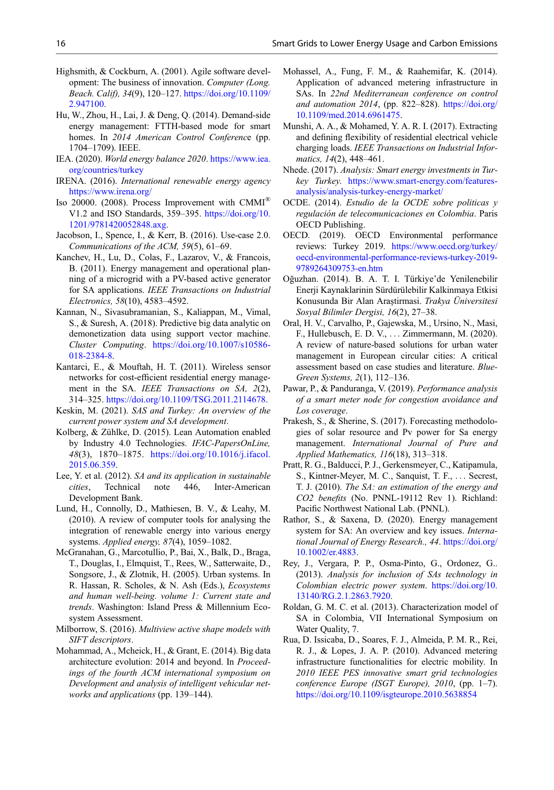- <span id="page-15-0"></span>Highsmith, & Cockburn, A. (2001). Agile software development: The business of innovation. Computer (Long. Beach. Calif), 34(9), 120–127. [https://doi.org/10.1109/](https://doi.org/10.1109/2.947100) [2.947100.](https://doi.org/10.1109/2.947100)
- Hu, W., Zhou, H., Lai, J. & Deng, Q. (2014). Demand-side energy management: FTTH-based mode for smart homes. In 2014 American Control Conference (pp. 1704–1709). IEEE.
- IEA. (2020). World energy balance 2020. [https://www.iea.](https://www.iea.org/countries/turkey) [org/countries/turkey](https://www.iea.org/countries/turkey)
- IRENA. (2016). International renewable energy agency <https://www.irena.org/>
- Iso 20000. (2008). Process Improvement with CMMI® V1.2 and ISO Standards, 359–395. [https://doi.org/10.](https://doi.org/10.1201/9781420052848.axg) [1201/9781420052848.axg.](https://doi.org/10.1201/9781420052848.axg)
- Jacobson, I., Spence, I., & Kerr, B. (2016). Use-case 2.0. Communications of the ACM, 59(5), 61–69.
- Kanchev, H., Lu, D., Colas, F., Lazarov, V., & Francois, B. (2011). Energy management and operational planning of a microgrid with a PV-based active generator for SA applications. IEEE Transactions on Industrial Electronics, 58(10), 4583–4592.
- Kannan, N., Sivasubramanian, S., Kaliappan, M., Vimal, S., & Suresh, A. (2018). Predictive big data analytic on demonetization data using support vector machine. Cluster Computing. [https://doi.org/10.1007/s10586-](https://doi.org/10.1007/s10586-018-2384-8) [018-2384-8](https://doi.org/10.1007/s10586-018-2384-8).
- Kantarci, E., & Mouftah, H. T. (2011). Wireless sensor networks for cost-efficient residential energy management in the SA. IEEE Transactions on SA, 2(2), 314–325. <https://doi.org/10.1109/TSG.2011.2114678>.
- Keskin, M. (2021). SAS and Turkey: An overview of the current power system and SA development.
- Kolberg, & Zühlke, D. (2015). Lean Automation enabled by Industry 4.0 Technologies. IFAC-PapersOnLine, 48(3), 1870–1875. [https://doi.org/10.1016/j.ifacol.](https://doi.org/10.1016/j.ifacol.2015.06.359) [2015.06.359](https://doi.org/10.1016/j.ifacol.2015.06.359).
- Lee, Y. et al. (2012). SA and its application in sustainable cities, Technical note 446, Inter-American Development Bank.
- Lund, H., Connolly, D., Mathiesen, B. V., & Leahy, M. (2010). A review of computer tools for analysing the integration of renewable energy into various energy systems. Applied energy, 87(4), 1059–1082.
- McGranahan, G., Marcotullio, P., Bai, X., Balk, D., Braga, T., Douglas, I., Elmquist, T., Rees, W., Satterwaite, D., Songsore, J., & Zlotnik, H. (2005). Urban systems. In R. Hassan, R. Scholes, & N. Ash (Eds.), Ecosystems and human well-being. volume 1: Current state and trends. Washington: Island Press & Millennium Ecosystem Assessment.
- Milborrow, S. (2016). Multiview active shape models with SIFT descriptors.
- Mohammad, A., Mcheick, H., & Grant, E. (2014). Big data architecture evolution: 2014 and beyond. In Proceedings of the fourth ACM international symposium on Development and analysis of intelligent vehicular networks and applications (pp. 139–144).
- Mohassel, A., Fung, F. M., & Raahemifar, K. (2014). Application of advanced metering infrastructure in SAs. In 22nd Mediterranean conference on control and automation 2014, (pp. 822–828). [https://doi.org/](https://doi.org/10.1109/med.2014.6961475) [10.1109/med.2014.6961475.](https://doi.org/10.1109/med.2014.6961475)
- Munshi, A. A., & Mohamed, Y. A. R. I. (2017). Extracting and defining flexibility of residential electrical vehicle charging loads. IEEE Transactions on Industrial Informatics, 14(2), 448–461.
- Nhede. (2017). Analysis: Smart energy investments in Turkey Turkey. [https://www.smart-energy.com/features](https://www.smart-energy.com/features-analysis/analysis-turkey-energy-market/)[analysis/analysis-turkey-energy-market/](https://www.smart-energy.com/features-analysis/analysis-turkey-energy-market/)
- OCDE. (2014). Estudio de la OCDE sobre politicas y regulación de telecomunicaciones en Colombia. Paris OECD Publishing.
- OECD. (2019). OECD Environmental performance reviews: Turkey 2019. [https://www.oecd.org/turkey/](https://www.oecd.org/turkey/oecd-environmental-performance-reviews-turkey-2019-9789264309753-en.htm) [oecd-environmental-performance-reviews-turkey-2019-](https://www.oecd.org/turkey/oecd-environmental-performance-reviews-turkey-2019-9789264309753-en.htm) [9789264309753-en.htm](https://www.oecd.org/turkey/oecd-environmental-performance-reviews-turkey-2019-9789264309753-en.htm)
- Oğuzhan. (2014). B. A. T. I. Türkiye'de Yenilenebilir Enerji Kaynaklarinin Sürdürülebilir Kalkinmaya Etkisi Konusunda Bir Alan Araştirmasi. Trakya Üniversitesi Sosyal Bilimler Dergisi, 16(2), 27–38.
- Oral, H. V., Carvalho, P., Gajewska, M., Ursino, N., Masi, F., Hullebusch, E. D. V., ... Zimmermann, M. (2020). A review of nature-based solutions for urban water management in European circular cities: A critical assessment based on case studies and literature. Blue-Green Systems, 2(1), 112–136.
- Pawar, P., & Panduranga, V. (2019). Performance analysis of a smart meter node for congestion avoidance and Los coverage.
- Prakesh, S., & Sherine, S. (2017). Forecasting methodologies of solar resource and Pv power for Sa energy management. International Journal of Pure and Applied Mathematics, 116(18), 313–318.
- Pratt, R. G., Balducci, P. J., Gerkensmeyer, C., Katipamula, S., Kintner-Meyer, M. C., Sanquist, T. F., ... Secrest, T. J. (2010). The SA: an estimation of the energy and CO2 benefits (No. PNNL-19112 Rev 1). Richland: Pacific Northwest National Lab. (PNNL).
- Rathor, S., & Saxena, D. (2020). Energy management system for SA: An overview and key issues. International Journal of Energy Research., 44. [https://doi.org/](https://doi.org/10.1002/er.4883) [10.1002/er.4883.](https://doi.org/10.1002/er.4883)
- Rey, J., Vergara, P. P., Osma-Pinto, G., Ordonez, G.. (2013). Analysis for inclusion of SAs technology in Colombian electric power system. [https://doi.org/10.](https://doi.org/10.13140/RG.2.1.2863.7920) [13140/RG.2.1.2863.7920.](https://doi.org/10.13140/RG.2.1.2863.7920)
- Roldan, G. M. C. et al. (2013). Characterization model of SA in Colombia, VII International Symposium on Water Quality, 7.
- Rua, D. Issicaba, D., Soares, F. J., Almeida, P. M. R., Rei, R. J., & Lopes, J. A. P. (2010). Advanced metering infrastructure functionalities for electric mobility. In 2010 IEEE PES innovative smart grid technologies conference Europe (ISGT Europe), 2010, (pp. 1–7). <https://doi.org/10.1109/isgteurope.2010.5638854>